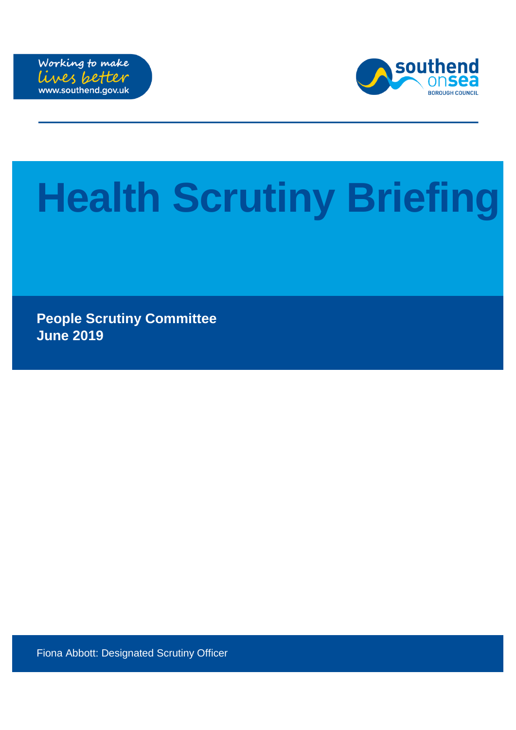



# **Health Scrutiny Briefing**

**People Scrutiny Committee June 2019**

Fiona Abbott: Designated Scrutiny Officer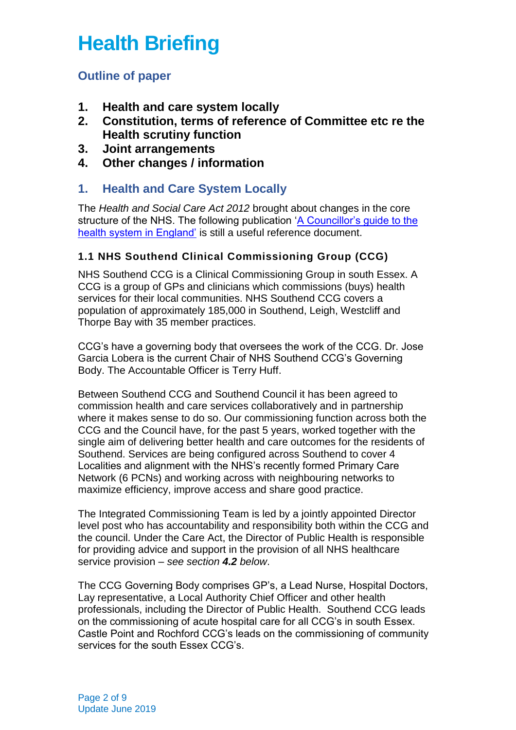# **Health Briefing**

# **Outline of paper**

- **1. Health and care system locally**
- **2. Constitution, terms of reference of Committee etc re the Health scrutiny function**
- **3. Joint arrangements**
- **4. Other changes / information**

# **1. Health and Care System Locally**

The *Health and Social Care Act 2012* brought about changes in the core structure of the NHS. The following publication ['A Councillor's guide to the](https://www.local.gov.uk/sites/default/files/documents/councillors-guide-health--3a1.pdf)  [health system in England'](https://www.local.gov.uk/sites/default/files/documents/councillors-guide-health--3a1.pdf) is still a useful reference document.

#### **1.1 NHS Southend Clinical Commissioning Group (CCG)**

NHS Southend CCG is a Clinical Commissioning Group in south Essex. A CCG is a group of GPs and clinicians which commissions (buys) health services for their local communities. NHS Southend CCG covers a population of approximately 185,000 in Southend, Leigh, Westcliff and Thorpe Bay with 35 member practices.

CCG's have a governing body that oversees the work of the CCG. Dr. Jose Garcia Lobera is the current Chair of NHS Southend CCG's Governing Body. The Accountable Officer is Terry Huff.

Between Southend CCG and Southend Council it has been agreed to commission health and care services collaboratively and in partnership where it makes sense to do so. Our commissioning function across both the CCG and the Council have, for the past 5 years, worked together with the single aim of delivering better health and care outcomes for the residents of Southend. Services are being configured across Southend to cover 4 Localities and alignment with the NHS's recently formed Primary Care Network (6 PCNs) and working across with neighbouring networks to maximize efficiency, improve access and share good practice.

The Integrated Commissioning Team is led by a jointly appointed Director level post who has accountability and responsibility both within the CCG and the council. Under the Care Act, the Director of Public Health is responsible for providing advice and support in the provision of all NHS healthcare service provision – *see section 4.2 below*.

The CCG Governing Body comprises GP's, a Lead Nurse, Hospital Doctors, Lay representative, a Local Authority Chief Officer and other health professionals, including the Director of Public Health. Southend CCG leads on the commissioning of acute hospital care for all CCG's in south Essex. Castle Point and Rochford CCG's leads on the commissioning of community services for the south Essex CCG's.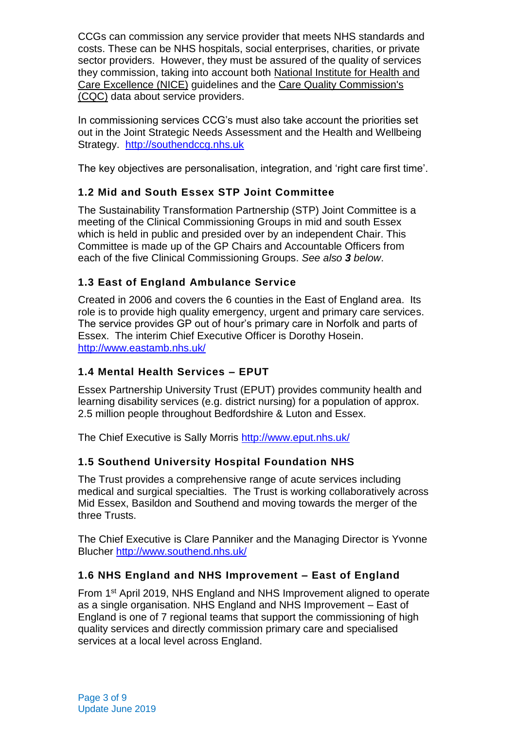CCGs can commission any service provider that meets NHS standards and costs. These can be NHS hospitals, social enterprises, charities, or private sector providers. However, they must be assured of the quality of services they commission, taking into account both [National Institute for Health and](http://www.nhs.uk/nhsengland/thenhs/healthregulators/pages/nice.aspx)  [Care Excellence \(NICE\)](http://www.nhs.uk/nhsengland/thenhs/healthregulators/pages/nice.aspx) guidelines and the [Care Quality Commission's](http://www.nhs.uk/NHSEngland/thenhs/healthregulators/Pages/carequalitycommission.aspx)  [\(CQC\)](http://www.nhs.uk/NHSEngland/thenhs/healthregulators/Pages/carequalitycommission.aspx) data about service providers.

In commissioning services CCG's must also take account the priorities set out in the Joint Strategic Needs Assessment and the Health and Wellbeing Strategy. [http://southendccg.nhs.uk](http://southendccg.nhs.uk/)

The key objectives are personalisation, integration, and 'right care first time'.

#### **1.2 Mid and South Essex STP Joint Committee**

The Sustainability Transformation Partnership (STP) Joint Committee is a meeting of the Clinical Commissioning Groups in mid and south Essex which is held in public and presided over by an independent Chair. This Committee is made up of the GP Chairs and Accountable Officers from each of the five Clinical Commissioning Groups. *See also 3 below*.

#### **1.3 East of England Ambulance Service**

Created in 2006 and covers the 6 counties in the East of England area. Its role is to provide high quality emergency, urgent and primary care services. The service provides GP out of hour's primary care in Norfolk and parts of Essex. The interim Chief Executive Officer is Dorothy Hosein. <http://www.eastamb.nhs.uk/>

#### **1.4 Mental Health Services – EPUT**

Essex Partnership University Trust (EPUT) provides community health and learning disability services (e.g. district nursing) for a population of approx. 2.5 million people throughout Bedfordshire & Luton and Essex.

The Chief Executive is Sally Morris<http://www.eput.nhs.uk/>

# **1.5 Southend University Hospital Foundation NHS**

The Trust provides a comprehensive range of acute services including medical and surgical specialties. The Trust is working collaboratively across Mid Essex, Basildon and Southend and moving towards the merger of the three Trusts.

The Chief Executive is Clare Panniker and the Managing Director is Yvonne Blucher<http://www.southend.nhs.uk/>

#### **1.6 NHS England and NHS Improvement – East of England**

From 1st April 2019, NHS England and NHS Improvement aligned to operate as a single organisation. NHS England and NHS Improvement – East of England is one of 7 regional teams that support the commissioning of high quality services and directly commission primary care and specialised services at a local level across England.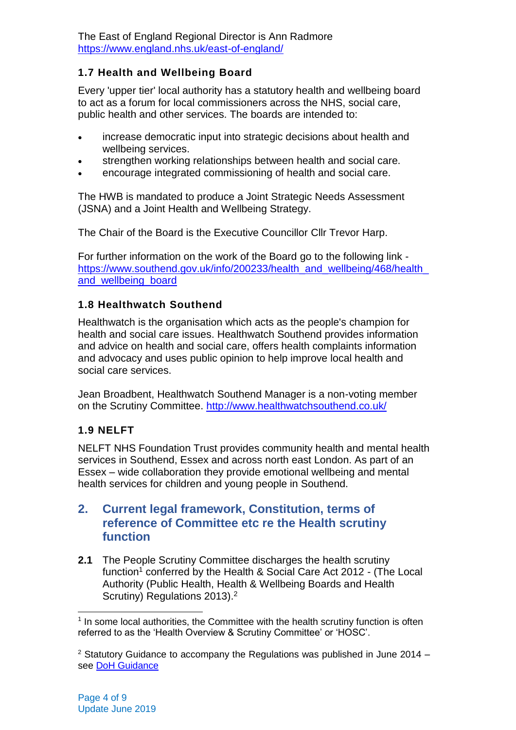The East of England Regional Director is Ann Radmore <https://www.england.nhs.uk/east-of-england/>

#### **1.7 Health and Wellbeing Board**

Every 'upper tier' local authority has a statutory health and wellbeing board to act as a forum for local commissioners across the NHS, social care, public health and other services. The boards are intended to:

- increase democratic input into strategic decisions about health and wellbeing services.
- strengthen working relationships between health and social care.
- encourage integrated commissioning of health and social care.

The HWB is mandated to produce a Joint Strategic Needs Assessment (JSNA) and a Joint Health and Wellbeing Strategy.

The Chair of the Board is the Executive Councillor Cllr Trevor Harp.

For further information on the work of the Board go to the following link [https://www.southend.gov.uk/info/200233/health\\_and\\_wellbeing/468/health\\_](https://www.southend.gov.uk/info/200233/health_and_wellbeing/468/health_and_wellbeing_board) [and\\_wellbeing\\_board](https://www.southend.gov.uk/info/200233/health_and_wellbeing/468/health_and_wellbeing_board)

#### **1.8 Healthwatch Southend**

Healthwatch is the organisation which acts as the people's champion for health and social care issues. Healthwatch Southend provides information and advice on health and social care, offers health complaints information and advocacy and uses public opinion to help improve local health and social care services.

Jean Broadbent, Healthwatch Southend Manager is a non-voting member on the Scrutiny Committee. <http://www.healthwatchsouthend.co.uk/>

#### **1.9 NELFT**

NELFT NHS Foundation Trust provides community health and mental health services in Southend, Essex and across north east London. As part of an Essex – wide collaboration they provide emotional wellbeing and mental health services for children and young people in Southend.

# **2. Current legal framework, Constitution, terms of reference of Committee etc re the Health scrutiny function**

**2.1** The People Scrutiny Committee discharges the health scrutiny function<sup>1</sup> conferred by the Health & Social Care Act 2012 - (The Local Authority (Public Health, Health & Wellbeing Boards and Health Scrutiny) Regulations 2013).<sup>2</sup>

<sup>-</sup> $<sup>1</sup>$  In some local authorities, the Committee with the health scrutiny function is often</sup> referred to as the 'Health Overview & Scrutiny Committee' or 'HOSC'.

<sup>&</sup>lt;sup>2</sup> Statutory Guidance to accompany the Regulations was published in June 2014 – see [DoH Guidance](https://www.gov.uk/government/uploads/system/uploads/attachment_data/file/324965/Local_authority_health_scrutiny.pdf)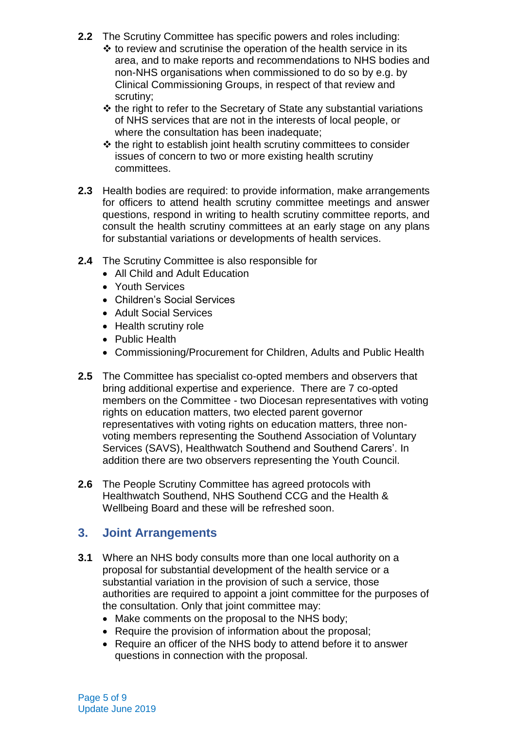- **2.2** The Scrutiny Committee has specific powers and roles including:
	- $\cdot$  to review and scrutinise the operation of the health service in its area, and to make reports and recommendations to NHS bodies and non-NHS organisations when commissioned to do so by e.g. by Clinical Commissioning Groups, in respect of that review and scrutiny;
	- $\triangle$  the right to refer to the Secretary of State any substantial variations of NHS services that are not in the interests of local people, or where the consultation has been inadequate;
	- $\triangle$  the right to establish joint health scrutiny committees to consider issues of concern to two or more existing health scrutiny committees.
- **2.3** Health bodies are required: to provide information, make arrangements for officers to attend health scrutiny committee meetings and answer questions, respond in writing to health scrutiny committee reports, and consult the health scrutiny committees at an early stage on any plans for substantial variations or developments of health services.
- **2.4** The Scrutiny Committee is also responsible for
	- All Child and Adult Education
	- Youth Services
	- Children's Social Services
	- Adult Social Services
	- Health scrutiny role
	- Public Health
	- Commissioning/Procurement for Children, Adults and Public Health
- **2.5** The Committee has specialist co-opted members and observers that bring additional expertise and experience. There are 7 co-opted members on the Committee - two Diocesan representatives with voting rights on education matters, two elected parent governor representatives with voting rights on education matters, three nonvoting members representing the Southend Association of Voluntary Services (SAVS), Healthwatch Southend and Southend Carers'. In addition there are two observers representing the Youth Council.
- **2.6** The People Scrutiny Committee has agreed protocols with Healthwatch Southend, NHS Southend CCG and the Health & Wellbeing Board and these will be refreshed soon.

# **3. Joint Arrangements**

- **3.1** Where an NHS body consults more than one local authority on a proposal for substantial development of the health service or a substantial variation in the provision of such a service, those authorities are required to appoint a joint committee for the purposes of the consultation. Only that joint committee may:
	- Make comments on the proposal to the NHS body;
	- Require the provision of information about the proposal;
	- Require an officer of the NHS body to attend before it to answer questions in connection with the proposal.

Page 5 of 9 Update June 2019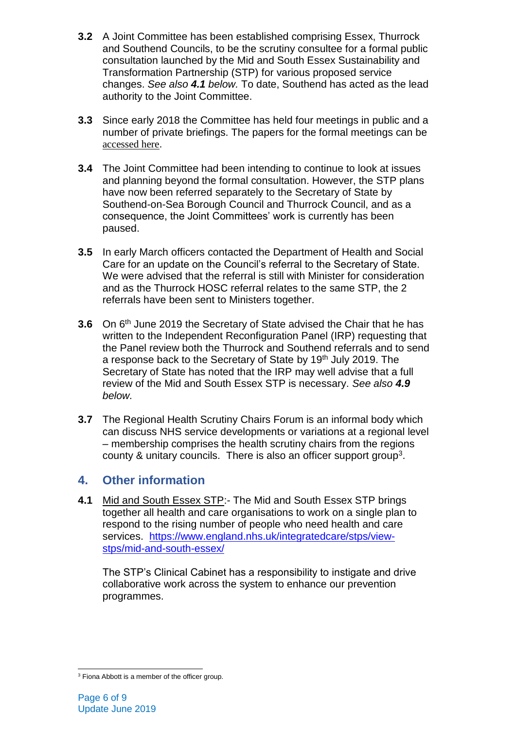- **3.2** A Joint Committee has been established comprising Essex, Thurrock and Southend Councils, to be the scrutiny consultee for a formal public consultation launched by the Mid and South Essex Sustainability and Transformation Partnership (STP) for various proposed service changes. *See also 4.1 below.* To date, Southend has acted as the lead authority to the Joint Committee.
- **3.3** Since early 2018 the Committee has held four meetings in public and a number of private briefings. The papers for the formal meetings can be [accessed here](https://southendintranet.moderngov.co.uk/ieListMeetings.aspx?CommitteeId=422).
- **3.4** The Joint Committee had been intending to continue to look at issues and planning beyond the formal consultation. However, the STP plans have now been referred separately to the Secretary of State by Southend-on-Sea Borough Council and Thurrock Council, and as a consequence, the Joint Committees' work is currently has been paused.
- **3.5** In early March officers contacted the Department of Health and Social Care for an update on the Council's referral to the Secretary of State. We were advised that the referral is still with Minister for consideration and as the Thurrock HOSC referral relates to the same STP, the 2 referrals have been sent to Ministers together.
- **3.6** On 6<sup>th</sup> June 2019 the Secretary of State advised the Chair that he has written to the Independent Reconfiguration Panel (IRP) requesting that the Panel review both the Thurrock and Southend referrals and to send a response back to the Secretary of State by 19th July 2019. The Secretary of State has noted that the IRP may well advise that a full review of the Mid and South Essex STP is necessary. *See also 4.9 below.*
- **3.7** The Regional Health Scrutiny Chairs Forum is an informal body which can discuss NHS service developments or variations at a regional level – membership comprises the health scrutiny chairs from the regions county & unitary councils. There is also an officer support group<sup>3</sup>.

# **4. Other information**

**4.1** Mid and South Essex STP:- The Mid and South Essex STP brings together all health and care organisations to work on a single plan to respond to the rising number of people who need health and care services. [https://www.england.nhs.uk/integratedcare/stps/view](https://www.england.nhs.uk/integratedcare/stps/view-stps/mid-and-south-essex/)[stps/mid-and-south-essex/](https://www.england.nhs.uk/integratedcare/stps/view-stps/mid-and-south-essex/)

The STP's Clinical Cabinet has a responsibility to instigate and drive collaborative work across the system to enhance our prevention programmes.

 $\overline{a}$ <sup>3</sup> Fiona Abbott is a member of the officer group.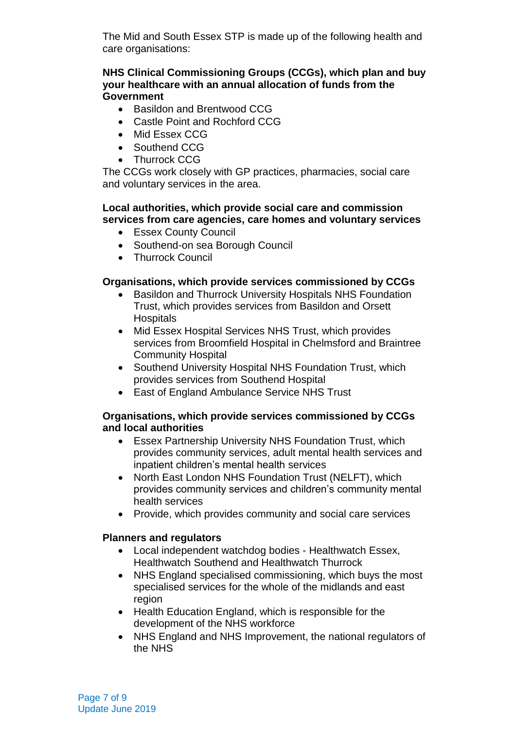The Mid and South Essex STP is made up of the following health and care organisations:

#### **NHS Clinical Commissioning Groups (CCGs), which plan and buy your healthcare with an annual allocation of funds from the Government**

- Basildon and Brentwood CCG
- Castle Point and Rochford CCG
- Mid Essex CCG
- Southend CCG
- Thurrock CCG

The CCGs work closely with GP practices, pharmacies, social care and voluntary services in the area.

#### **Local authorities, which provide social care and commission services from care agencies, care homes and voluntary services**

- Essex County Council
- Southend-on sea Borough Council
- Thurrock Council

#### **Organisations, which provide services commissioned by CCGs**

- Basildon and Thurrock University Hospitals NHS Foundation Trust, which provides services from Basildon and Orsett **Hospitals**
- Mid Essex Hospital Services NHS Trust, which provides services from Broomfield Hospital in Chelmsford and Braintree Community Hospital
- Southend University Hospital NHS Foundation Trust, which provides services from Southend Hospital
- East of England Ambulance Service NHS Trust

#### **Organisations, which provide services commissioned by CCGs and local authorities**

- Essex Partnership University NHS Foundation Trust, which provides community services, adult mental health services and inpatient children's mental health services
- North East London NHS Foundation Trust (NELFT), which provides community services and children's community mental health services
- Provide, which provides community and social care services

#### **Planners and regulators**

- Local independent watchdog bodies Healthwatch Essex, Healthwatch Southend and Healthwatch Thurrock
- NHS England specialised commissioning, which buys the most specialised services for the whole of the midlands and east region
- Health Education England, which is responsible for the development of the NHS workforce
- NHS England and NHS Improvement, the national regulators of the NHS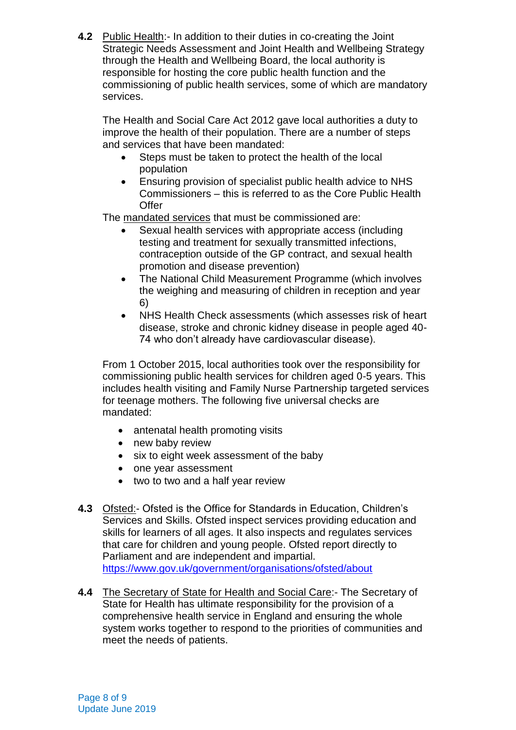**4.2** Public Health:- In addition to their duties in co-creating the Joint Strategic Needs Assessment and Joint Health and Wellbeing Strategy through the Health and Wellbeing Board, the local authority is responsible for hosting the core public health function and the commissioning of public health services, some of which are mandatory services.

The Health and Social Care Act 2012 gave local authorities a duty to improve the health of their population. There are a number of steps and services that have been mandated:

- Steps must be taken to protect the health of the local population
- Ensuring provision of specialist public health advice to NHS Commissioners – this is referred to as the Core Public Health **Offer**

The mandated services that must be commissioned are:

- Sexual health services with appropriate access (including testing and treatment for sexually transmitted infections, contraception outside of the GP contract, and sexual health promotion and disease prevention)
- The National Child Measurement Programme (which involves the weighing and measuring of children in reception and year 6)
- NHS Health Check assessments (which assesses risk of heart disease, stroke and chronic kidney disease in people aged 40- 74 who don't already have cardiovascular disease).

From 1 October 2015, local authorities took over the responsibility for commissioning public health services for children aged 0-5 years. This includes health visiting and Family Nurse Partnership targeted services for teenage mothers. The following five universal checks are mandated:

- antenatal health promoting visits
- new baby review
- six to eight week assessment of the baby
- one year assessment
- two to two and a half year review
- **4.3** Ofsted:- Ofsted is the Office for Standards in Education, Children's Services and Skills. Ofsted inspect services providing education and skills for learners of all ages. It also inspects and regulates services that care for children and young people. Ofsted report directly to Parliament and are independent and impartial. <https://www.gov.uk/government/organisations/ofsted/about>
- **4.4** The Secretary of State for Health and Social Care:- The Secretary of State for Health has ultimate responsibility for the provision of a comprehensive health service in England and ensuring the whole system works together to respond to the priorities of communities and meet the needs of patients.